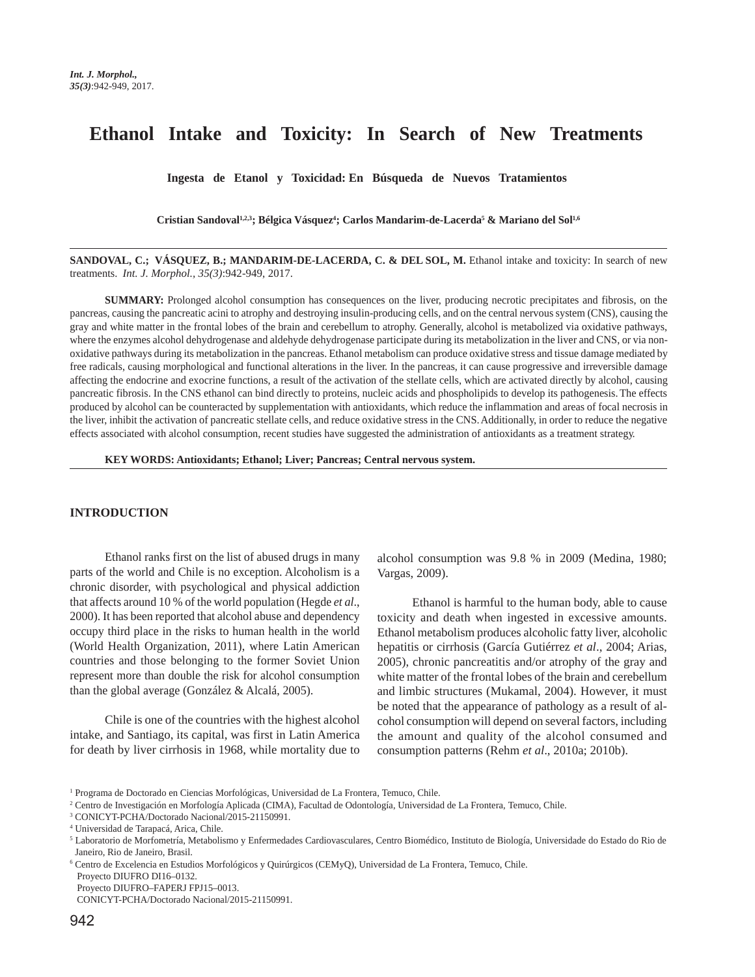## **Ethanol Intake and Toxicity: In Search of New Treatments**

**Ingesta de Etanol y Toxicidad: En Búsqueda de Nuevos Tratamientos**

**Cristian Sandoval1,2,3; Bélgica Vásquez4 ; Carlos Mandarim-de-Lacerda5 & Mariano del Sol1,6**

**SANDOVAL, C.; VÁSQUEZ, B.; MANDARIM-DE-LACERDA, C. & DEL SOL, M.** Ethanol intake and toxicity: In search of new treatments. *Int. J. Morphol., 35(3)*:942-949, 2017.

**SUMMARY:** Prolonged alcohol consumption has consequences on the liver, producing necrotic precipitates and fibrosis, on the pancreas, causing the pancreatic acini to atrophy and destroying insulin-producing cells, and on the central nervous system (CNS), causing the gray and white matter in the frontal lobes of the brain and cerebellum to atrophy. Generally, alcohol is metabolized via oxidative pathways, where the enzymes alcohol dehydrogenase and aldehyde dehydrogenase participate during its metabolization in the liver and CNS, or via nonoxidative pathways during its metabolization in the pancreas. Ethanol metabolism can produce oxidative stress and tissue damage mediated by free radicals, causing morphological and functional alterations in the liver. In the pancreas, it can cause progressive and irreversible damage affecting the endocrine and exocrine functions, a result of the activation of the stellate cells, which are activated directly by alcohol, causing pancreatic fibrosis. In the CNS ethanol can bind directly to proteins, nucleic acids and phospholipids to develop its pathogenesis. The effects produced by alcohol can be counteracted by supplementation with antioxidants, which reduce the inflammation and areas of focal necrosis in the liver, inhibit the activation of pancreatic stellate cells, and reduce oxidative stress in the CNS. Additionally, in order to reduce the negative effects associated with alcohol consumption, recent studies have suggested the administration of antioxidants as a treatment strategy.

**KEY WORDS: Antioxidants; Ethanol; Liver; Pancreas; Central nervous system.**

## **INTRODUCTION**

Ethanol ranks first on the list of abused drugs in many parts of the world and Chile is no exception. Alcoholism is a chronic disorder, with psychological and physical addiction that affects around 10 % of the world population (Hegde *et al*., 2000). It has been reported that alcohol abuse and dependency occupy third place in the risks to human health in the world (World Health Organization, 2011), where Latin American countries and those belonging to the former Soviet Union represent more than double the risk for alcohol consumption than the global average (González & Alcalá, 2005).

Chile is one of the countries with the highest alcohol intake, and Santiago, its capital, was first in Latin America for death by liver cirrhosis in 1968, while mortality due to

alcohol consumption was 9.8 % in 2009 (Medina, 1980; Vargas, 2009).

Ethanol is harmful to the human body, able to cause toxicity and death when ingested in excessive amounts. Ethanol metabolism produces alcoholic fatty liver, alcoholic hepatitis or cirrhosis (García Gutiérrez *et al*., 2004; Arias, 2005), chronic pancreatitis and/or atrophy of the gray and white matter of the frontal lobes of the brain and cerebellum and limbic structures (Mukamal, 2004). However, it must be noted that the appearance of pathology as a result of alcohol consumption will depend on several factors, including the amount and quality of the alcohol consumed and consumption patterns (Rehm *et al*., 2010a; 2010b).

CONICYT-PCHA/Doctorado Nacional/2015-21150991.

<sup>1</sup> Programa de Doctorado en Ciencias Morfológicas, Universidad de La Frontera, Temuco, Chile.

<sup>2</sup> Centro de Investigación en Morfología Aplicada (CIMA), Facultad de Odontología, Universidad de La Frontera, Temuco, Chile.

<sup>3</sup> CONICYT-PCHA/Doctorado Nacional/2015-21150991.

<sup>4</sup> Universidad de Tarapacá, Arica, Chile.

<sup>5</sup> Laboratorio de Morfometría, Metabolismo y Enfermedades Cardiovasculares, Centro Biomédico, Instituto de Biología, Universidade do Estado do Rio de Janeiro, Rio de Janeiro, Brasil.

<sup>6</sup> Centro de Excelencia en Estudios Morfológicos y Quirúrgicos (CEMyQ), Universidad de La Frontera, Temuco, Chile. Proyecto DIUFRO DI16–0132. Proyecto DIUFRO–FAPERJ FPJ15–0013.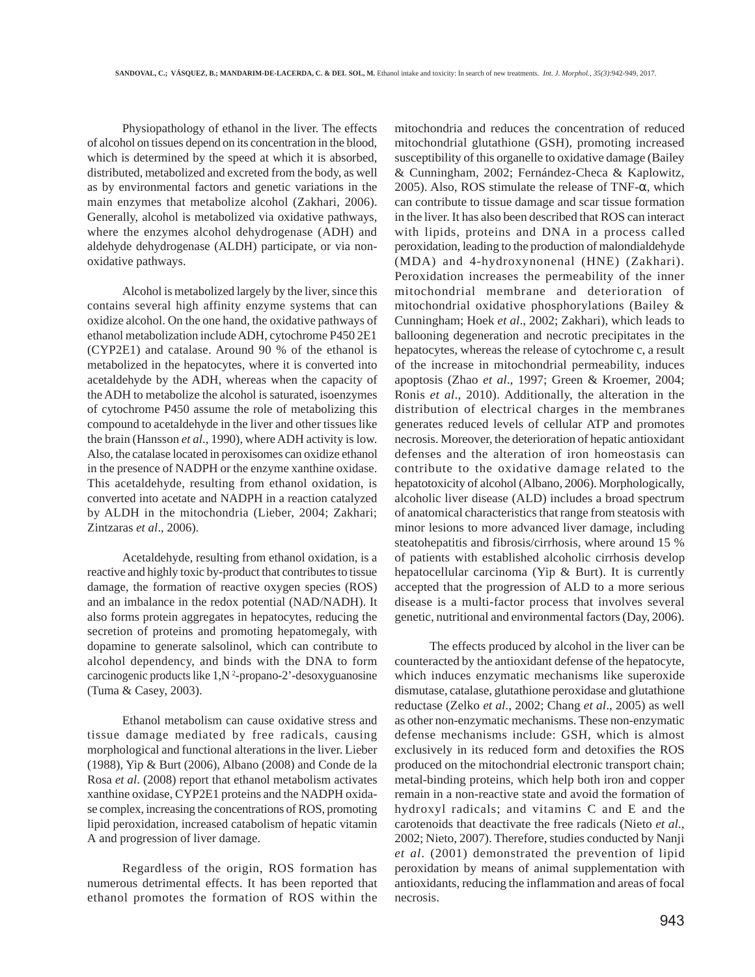Physiopathology of ethanol in the liver. The effects of alcohol on tissues depend on its concentration in the blood, which is determined by the speed at which it is absorbed, distributed, metabolized and excreted from the body, as well as by environmental factors and genetic variations in the main enzymes that metabolize alcohol (Zakhari, 2006). Generally, alcohol is metabolized via oxidative pathways, where the enzymes alcohol dehydrogenase (ADH) and aldehyde dehydrogenase (ALDH) participate, or via nonoxidative pathways.

Alcohol is metabolized largely by the liver, since this contains several high affinity enzyme systems that can oxidize alcohol. On the one hand, the oxidative pathways of ethanol metabolization include ADH, cytochrome P450 2E1 (CYP2E1) and catalase. Around 90 % of the ethanol is metabolized in the hepatocytes, where it is converted into acetaldehyde by the ADH, whereas when the capacity of the ADH to metabolize the alcohol is saturated, isoenzymes of cytochrome P450 assume the role of metabolizing this compound to acetaldehyde in the liver and other tissues like the brain (Hansson *et al*., 1990), where ADH activity is low. Also, the catalase located in peroxisomes can oxidize ethanol in the presence of NADPH or the enzyme xanthine oxidase. This acetaldehyde, resulting from ethanol oxidation, is converted into acetate and NADPH in a reaction catalyzed by ALDH in the mitochondria (Lieber, 2004; Zakhari; Zintzaras *et al*., 2006).

Acetaldehyde, resulting from ethanol oxidation, is a reactive and highly toxic by-product that contributes to tissue damage, the formation of reactive oxygen species (ROS) and an imbalance in the redox potential (NAD/NADH). It also forms protein aggregates in hepatocytes, reducing the secretion of proteins and promoting hepatomegaly, with dopamine to generate salsolinol, which can contribute to alcohol dependency, and binds with the DNA to form carcinogenic products like 1,N 2 -propano-2'-desoxyguanosine (Tuma & Casey, 2003).

Ethanol metabolism can cause oxidative stress and tissue damage mediated by free radicals, causing morphological and functional alterations in the liver. Lieber (1988), Yip & Burt (2006), Albano (2008) and Conde de la Rosa *et al*. (2008) report that ethanol metabolism activates xanthine oxidase, CYP2E1 proteins and the NADPH oxidase complex, increasing the concentrations of ROS, promoting lipid peroxidation, increased catabolism of hepatic vitamin A and progression of liver damage.

Regardless of the origin, ROS formation has numerous detrimental effects. It has been reported that ethanol promotes the formation of ROS within the

mitochondria and reduces the concentration of reduced mitochondrial glutathione (GSH), promoting increased susceptibility of this organelle to oxidative damage (Bailey & Cunningham, 2002; Fernández-Checa & Kaplowitz, 2005). Also, ROS stimulate the release of TNF-α, which can contribute to tissue damage and scar tissue formation in the liver. It has also been described that ROS can interact with lipids, proteins and DNA in a process called peroxidation, leading to the production of malondialdehyde (MDA) and 4-hydroxynonenal (HNE) (Zakhari). Peroxidation increases the permeability of the inner mitochondrial membrane and deterioration of mitochondrial oxidative phosphorylations (Bailey & Cunningham; Hoek *et al*., 2002; Zakhari), which leads to ballooning degeneration and necrotic precipitates in the hepatocytes, whereas the release of cytochrome c, a result of the increase in mitochondrial permeability, induces apoptosis (Zhao *et al*., 1997; Green & Kroemer, 2004; Ronis *et al*., 2010). Additionally, the alteration in the distribution of electrical charges in the membranes generates reduced levels of cellular ATP and promotes necrosis. Moreover, the deterioration of hepatic antioxidant defenses and the alteration of iron homeostasis can contribute to the oxidative damage related to the hepatotoxicity of alcohol (Albano, 2006). Morphologically, alcoholic liver disease (ALD) includes a broad spectrum of anatomical characteristics that range from steatosis with minor lesions to more advanced liver damage, including steatohepatitis and fibrosis/cirrhosis, where around 15 % of patients with established alcoholic cirrhosis develop hepatocellular carcinoma (Yip & Burt). It is currently accepted that the progression of ALD to a more serious disease is a multi-factor process that involves several genetic, nutritional and environmental factors (Day, 2006).

The effects produced by alcohol in the liver can be counteracted by the antioxidant defense of the hepatocyte, which induces enzymatic mechanisms like superoxide dismutase, catalase, glutathione peroxidase and glutathione reductase (Zelko *et al*., 2002; Chang *et al*., 2005) as well as other non-enzymatic mechanisms. These non-enzymatic defense mechanisms include: GSH, which is almost exclusively in its reduced form and detoxifies the ROS produced on the mitochondrial electronic transport chain; metal-binding proteins, which help both iron and copper remain in a non-reactive state and avoid the formation of hydroxyl radicals; and vitamins C and E and the carotenoids that deactivate the free radicals (Nieto *et al*., 2002; Nieto, 2007). Therefore, studies conducted by Nanji *et al*. (2001) demonstrated the prevention of lipid peroxidation by means of animal supplementation with antioxidants, reducing the inflammation and areas of focal necrosis.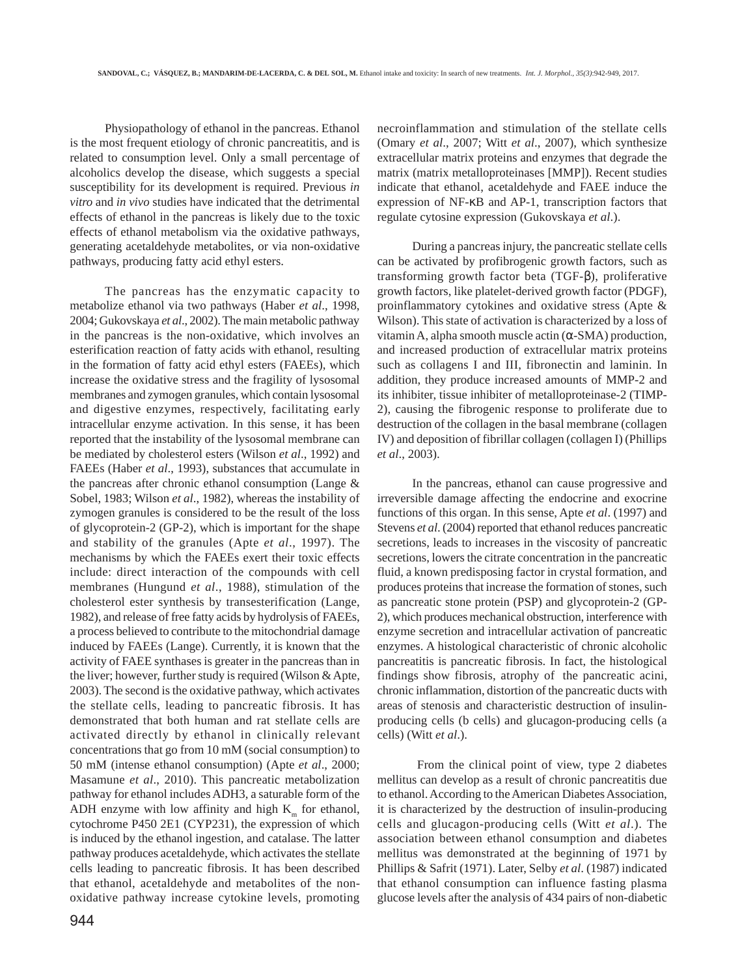Physiopathology of ethanol in the pancreas. Ethanol is the most frequent etiology of chronic pancreatitis, and is related to consumption level. Only a small percentage of alcoholics develop the disease, which suggests a special susceptibility for its development is required. Previous *in vitro* and *in vivo* studies have indicated that the detrimental effects of ethanol in the pancreas is likely due to the toxic effects of ethanol metabolism via the oxidative pathways, generating acetaldehyde metabolites, or via non-oxidative pathways, producing fatty acid ethyl esters.

The pancreas has the enzymatic capacity to metabolize ethanol via two pathways (Haber *et al*., 1998, 2004; Gukovskaya *et al*., 2002). The main metabolic pathway in the pancreas is the non-oxidative, which involves an esterification reaction of fatty acids with ethanol, resulting in the formation of fatty acid ethyl esters (FAEEs), which increase the oxidative stress and the fragility of lysosomal membranes and zymogen granules, which contain lysosomal and digestive enzymes, respectively, facilitating early intracellular enzyme activation. In this sense, it has been reported that the instability of the lysosomal membrane can be mediated by cholesterol esters (Wilson *et al*., 1992) and FAEEs (Haber *et al*., 1993), substances that accumulate in the pancreas after chronic ethanol consumption (Lange & Sobel, 1983; Wilson *et al*., 1982), whereas the instability of zymogen granules is considered to be the result of the loss of glycoprotein-2 (GP-2), which is important for the shape and stability of the granules (Apte *et al*., 1997). The mechanisms by which the FAEEs exert their toxic effects include: direct interaction of the compounds with cell membranes (Hungund *et al*., 1988), stimulation of the cholesterol ester synthesis by transesterification (Lange, 1982), and release of free fatty acids by hydrolysis of FAEEs, a process believed to contribute to the mitochondrial damage induced by FAEEs (Lange). Currently, it is known that the activity of FAEE synthases is greater in the pancreas than in the liver; however, further study is required (Wilson & Apte, 2003). The second is the oxidative pathway, which activates the stellate cells, leading to pancreatic fibrosis. It has demonstrated that both human and rat stellate cells are activated directly by ethanol in clinically relevant concentrations that go from 10 mM (social consumption) to 50 mM (intense ethanol consumption) (Apte *et al*., 2000; Masamune *et al*., 2010). This pancreatic metabolization pathway for ethanol includes ADH3, a saturable form of the ADH enzyme with low affinity and high  $K<sub>m</sub>$  for ethanol, cytochrome P450 2E1 (CYP231), the expression of which is induced by the ethanol ingestion, and catalase. The latter pathway produces acetaldehyde, which activates the stellate cells leading to pancreatic fibrosis. It has been described that ethanol, acetaldehyde and metabolites of the nonoxidative pathway increase cytokine levels, promoting

necroinflammation and stimulation of the stellate cells (Omary *et al*., 2007; Witt *et al*., 2007), which synthesize extracellular matrix proteins and enzymes that degrade the matrix (matrix metalloproteinases [MMP]). Recent studies indicate that ethanol, acetaldehyde and FAEE induce the expression of NF-κB and AP-1, transcription factors that regulate cytosine expression (Gukovskaya *et al*.).

During a pancreas injury, the pancreatic stellate cells can be activated by profibrogenic growth factors, such as transforming growth factor beta (TGF-β), proliferative growth factors, like platelet-derived growth factor (PDGF), proinflammatory cytokines and oxidative stress (Apte & Wilson). This state of activation is characterized by a loss of vitamin A, alpha smooth muscle actin (α-SMA) production, and increased production of extracellular matrix proteins such as collagens I and III, fibronectin and laminin. In addition, they produce increased amounts of MMP-2 and its inhibiter, tissue inhibiter of metalloproteinase-2 (TIMP-2), causing the fibrogenic response to proliferate due to destruction of the collagen in the basal membrane (collagen IV) and deposition of fibrillar collagen (collagen I) (Phillips *et al*., 2003).

In the pancreas, ethanol can cause progressive and irreversible damage affecting the endocrine and exocrine functions of this organ. In this sense, Apte *et al*. (1997) and Stevens *et al*. (2004) reported that ethanol reduces pancreatic secretions, leads to increases in the viscosity of pancreatic secretions, lowers the citrate concentration in the pancreatic fluid, a known predisposing factor in crystal formation, and produces proteins that increase the formation of stones, such as pancreatic stone protein (PSP) and glycoprotein-2 (GP-2), which produces mechanical obstruction, interference with enzyme secretion and intracellular activation of pancreatic enzymes. A histological characteristic of chronic alcoholic pancreatitis is pancreatic fibrosis. In fact, the histological findings show fibrosis, atrophy of the pancreatic acini, chronic inflammation, distortion of the pancreatic ducts with areas of stenosis and characteristic destruction of insulinproducing cells (b cells) and glucagon-producing cells (a cells) (Witt *et al*.).

 From the clinical point of view, type 2 diabetes mellitus can develop as a result of chronic pancreatitis due to ethanol. According to the American Diabetes Association, it is characterized by the destruction of insulin-producing cells and glucagon-producing cells (Witt *et al*.). The association between ethanol consumption and diabetes mellitus was demonstrated at the beginning of 1971 by Phillips & Safrit (1971). Later, Selby *et al*. (1987) indicated that ethanol consumption can influence fasting plasma glucose levels after the analysis of 434 pairs of non-diabetic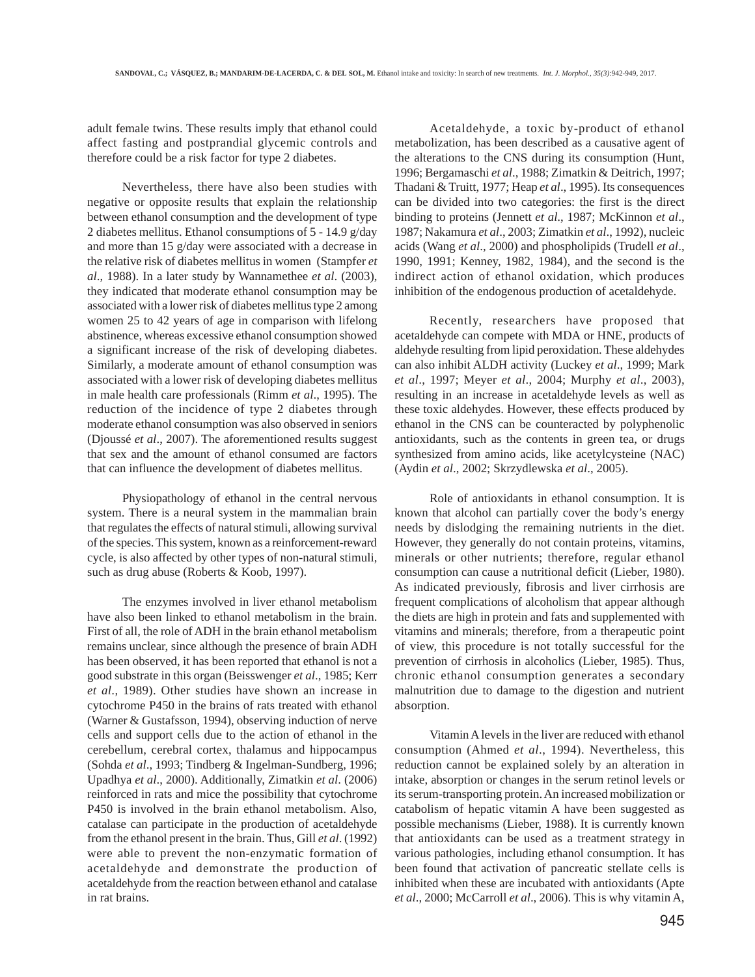adult female twins. These results imply that ethanol could affect fasting and postprandial glycemic controls and therefore could be a risk factor for type 2 diabetes.

Nevertheless, there have also been studies with negative or opposite results that explain the relationship between ethanol consumption and the development of type 2 diabetes mellitus. Ethanol consumptions of 5 - 14.9 g/day and more than 15 g/day were associated with a decrease in the relative risk of diabetes mellitus in women (Stampfer *et al*., 1988). In a later study by Wannamethee *et al*. (2003), they indicated that moderate ethanol consumption may be associated with a lower risk of diabetes mellitus type 2 among women 25 to 42 years of age in comparison with lifelong abstinence, whereas excessive ethanol consumption showed a significant increase of the risk of developing diabetes. Similarly, a moderate amount of ethanol consumption was associated with a lower risk of developing diabetes mellitus in male health care professionals (Rimm *et al*., 1995). The reduction of the incidence of type 2 diabetes through moderate ethanol consumption was also observed in seniors (Djoussé *et al*., 2007). The aforementioned results suggest that sex and the amount of ethanol consumed are factors that can influence the development of diabetes mellitus.

Physiopathology of ethanol in the central nervous system. There is a neural system in the mammalian brain that regulates the effects of natural stimuli, allowing survival of the species. This system, known as a reinforcement-reward cycle, is also affected by other types of non-natural stimuli, such as drug abuse (Roberts & Koob, 1997).

The enzymes involved in liver ethanol metabolism have also been linked to ethanol metabolism in the brain. First of all, the role of ADH in the brain ethanol metabolism remains unclear, since although the presence of brain ADH has been observed, it has been reported that ethanol is not a good substrate in this organ (Beisswenger *et al*., 1985; Kerr *et al*., 1989). Other studies have shown an increase in cytochrome P450 in the brains of rats treated with ethanol (Warner & Gustafsson, 1994), observing induction of nerve cells and support cells due to the action of ethanol in the cerebellum, cerebral cortex, thalamus and hippocampus (Sohda *et al*., 1993; Tindberg & Ingelman-Sundberg, 1996; Upadhya *et al*., 2000). Additionally, Zimatkin *et al*. (2006) reinforced in rats and mice the possibility that cytochrome P450 is involved in the brain ethanol metabolism. Also, catalase can participate in the production of acetaldehyde from the ethanol present in the brain. Thus, Gill *et al*. (1992) were able to prevent the non-enzymatic formation of acetaldehyde and demonstrate the production of acetaldehyde from the reaction between ethanol and catalase in rat brains.

Acetaldehyde, a toxic by-product of ethanol metabolization, has been described as a causative agent of the alterations to the CNS during its consumption (Hunt, 1996; Bergamaschi *et al*., 1988; Zimatkin & Deitrich, 1997; Thadani & Truitt, 1977; Heap *et al*., 1995). Its consequences can be divided into two categories: the first is the direct binding to proteins (Jennett *et al*., 1987; McKinnon *et al*., 1987; Nakamura *et al*., 2003; Zimatkin *et al*., 1992), nucleic acids (Wang *et al*., 2000) and phospholipids (Trudell *et al*., 1990, 1991; Kenney, 1982, 1984), and the second is the indirect action of ethanol oxidation, which produces inhibition of the endogenous production of acetaldehyde.

Recently, researchers have proposed that acetaldehyde can compete with MDA or HNE, products of aldehyde resulting from lipid peroxidation. These aldehydes can also inhibit ALDH activity (Luckey *et al*., 1999; Mark *et al*., 1997; Meyer *et al*., 2004; Murphy *et al*., 2003), resulting in an increase in acetaldehyde levels as well as these toxic aldehydes. However, these effects produced by ethanol in the CNS can be counteracted by polyphenolic antioxidants, such as the contents in green tea, or drugs synthesized from amino acids, like acetylcysteine (NAC) (Aydin *et al*., 2002; Skrzydlewska *et al*., 2005).

Role of antioxidants in ethanol consumption. It is known that alcohol can partially cover the body's energy needs by dislodging the remaining nutrients in the diet. However, they generally do not contain proteins, vitamins, minerals or other nutrients; therefore, regular ethanol consumption can cause a nutritional deficit (Lieber, 1980). As indicated previously, fibrosis and liver cirrhosis are frequent complications of alcoholism that appear although the diets are high in protein and fats and supplemented with vitamins and minerals; therefore, from a therapeutic point of view, this procedure is not totally successful for the prevention of cirrhosis in alcoholics (Lieber, 1985). Thus, chronic ethanol consumption generates a secondary malnutrition due to damage to the digestion and nutrient absorption.

Vitamin A levels in the liver are reduced with ethanol consumption (Ahmed *et al*., 1994). Nevertheless, this reduction cannot be explained solely by an alteration in intake, absorption or changes in the serum retinol levels or its serum-transporting protein. An increased mobilization or catabolism of hepatic vitamin A have been suggested as possible mechanisms (Lieber, 1988). It is currently known that antioxidants can be used as a treatment strategy in various pathologies, including ethanol consumption. It has been found that activation of pancreatic stellate cells is inhibited when these are incubated with antioxidants (Apte *et al*., 2000; McCarroll *et al*., 2006). This is why vitamin A,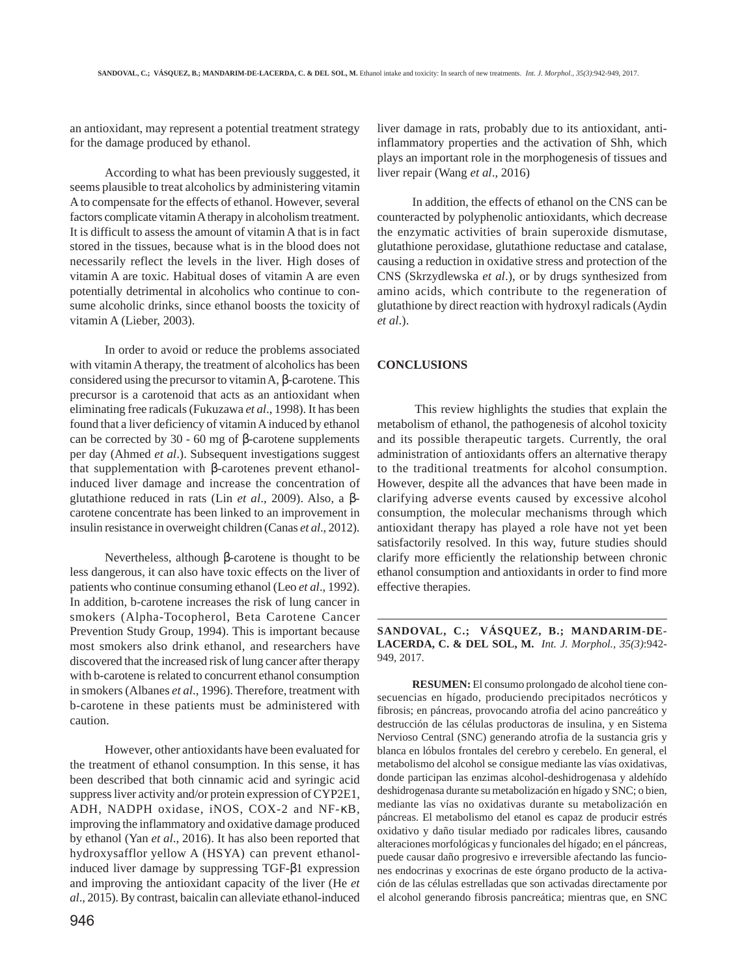an antioxidant, may represent a potential treatment strategy for the damage produced by ethanol.

According to what has been previously suggested, it seems plausible to treat alcoholics by administering vitamin A to compensate for the effects of ethanol. However, several factors complicate vitamin A therapy in alcoholism treatment. It is difficult to assess the amount of vitamin A that is in fact stored in the tissues, because what is in the blood does not necessarily reflect the levels in the liver. High doses of vitamin A are toxic. Habitual doses of vitamin A are even potentially detrimental in alcoholics who continue to consume alcoholic drinks, since ethanol boosts the toxicity of vitamin A (Lieber, 2003).

In order to avoid or reduce the problems associated with vitamin A therapy, the treatment of alcoholics has been considered using the precursor to vitamin A, β-carotene. This precursor is a carotenoid that acts as an antioxidant when eliminating free radicals (Fukuzawa *et al*., 1998). It has been found that a liver deficiency of vitamin A induced by ethanol can be corrected by 30 - 60 mg of β-carotene supplements per day (Ahmed *et al*.). Subsequent investigations suggest that supplementation with β-carotenes prevent ethanolinduced liver damage and increase the concentration of glutathione reduced in rats (Lin *et al*., 2009). Also, a βcarotene concentrate has been linked to an improvement in insulin resistance in overweight children (Canas *et al*., 2012).

Nevertheless, although β-carotene is thought to be less dangerous, it can also have toxic effects on the liver of patients who continue consuming ethanol (Leo *et al*., 1992). In addition, b-carotene increases the risk of lung cancer in smokers (Alpha-Tocopherol, Beta Carotene Cancer Prevention Study Group, 1994). This is important because most smokers also drink ethanol, and researchers have discovered that the increased risk of lung cancer after therapy with b-carotene is related to concurrent ethanol consumption in smokers (Albanes *et al*., 1996). Therefore, treatment with b-carotene in these patients must be administered with caution.

However, other antioxidants have been evaluated for the treatment of ethanol consumption. In this sense, it has been described that both cinnamic acid and syringic acid suppress liver activity and/or protein expression of CYP2E1, ADH, NADPH oxidase, iNOS, COX-2 and NF-κB, improving the inflammatory and oxidative damage produced by ethanol (Yan *et al*., 2016). It has also been reported that hydroxysafflor yellow A (HSYA) can prevent ethanolinduced liver damage by suppressing TGF-β1 expression and improving the antioxidant capacity of the liver (He *et al*., 2015). By contrast, baicalin can alleviate ethanol-induced

liver damage in rats, probably due to its antioxidant, antiinflammatory properties and the activation of Shh, which plays an important role in the morphogenesis of tissues and liver repair (Wang *et al*., 2016)

In addition, the effects of ethanol on the CNS can be counteracted by polyphenolic antioxidants, which decrease the enzymatic activities of brain superoxide dismutase, glutathione peroxidase, glutathione reductase and catalase, causing a reduction in oxidative stress and protection of the CNS (Skrzydlewska *et al*.), or by drugs synthesized from amino acids, which contribute to the regeneration of glutathione by direct reaction with hydroxyl radicals (Aydin *et al*.).

## **CONCLUSIONS**

 This review highlights the studies that explain the metabolism of ethanol, the pathogenesis of alcohol toxicity and its possible therapeutic targets. Currently, the oral administration of antioxidants offers an alternative therapy to the traditional treatments for alcohol consumption. However, despite all the advances that have been made in clarifying adverse events caused by excessive alcohol consumption, the molecular mechanisms through which antioxidant therapy has played a role have not yet been satisfactorily resolved. In this way, future studies should clarify more efficiently the relationship between chronic ethanol consumption and antioxidants in order to find more effective therapies.

**SANDOVAL, C.; VÁSQUEZ, B.; MANDARIM-DE-LACERDA, C. & DEL SOL, M.** *Int. J. Morphol., 35(3)*:942- 949, 2017.

**RESUMEN:** El consumo prolongado de alcohol tiene consecuencias en hígado, produciendo precipitados necróticos y fibrosis; en páncreas, provocando atrofia del acino pancreático y destrucción de las células productoras de insulina, y en Sistema Nervioso Central (SNC) generando atrofia de la sustancia gris y blanca en lóbulos frontales del cerebro y cerebelo. En general, el metabolismo del alcohol se consigue mediante las vías oxidativas, donde participan las enzimas alcohol-deshidrogenasa y aldehído deshidrogenasa durante su metabolización en hígado y SNC; o bien, mediante las vías no oxidativas durante su metabolización en páncreas. El metabolismo del etanol es capaz de producir estrés oxidativo y daño tisular mediado por radicales libres, causando alteraciones morfológicas y funcionales del hígado; en el páncreas, puede causar daño progresivo e irreversible afectando las funciones endocrinas y exocrinas de este órgano producto de la activación de las células estrelladas que son activadas directamente por el alcohol generando fibrosis pancreática; mientras que, en SNC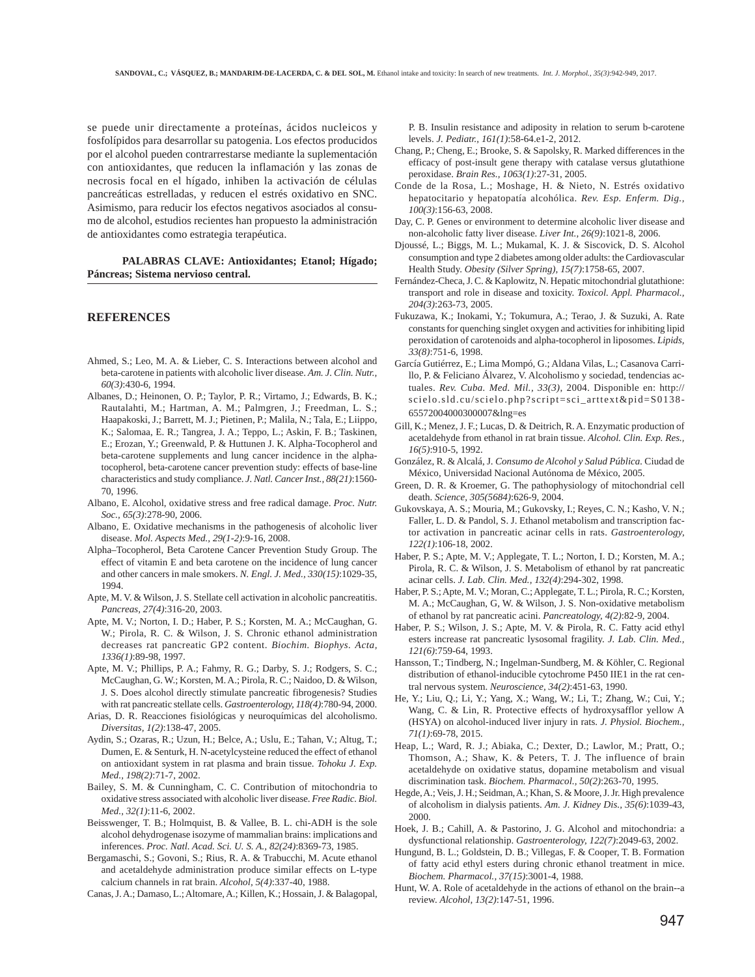se puede unir directamente a proteínas, ácidos nucleicos y fosfolípidos para desarrollar su patogenia. Los efectos producidos por el alcohol pueden contrarrestarse mediante la suplementación con antioxidantes, que reducen la inflamación y las zonas de necrosis focal en el hígado, inhiben la activación de células pancreáticas estrelladas, y reducen el estrés oxidativo en SNC. Asimismo, para reducir los efectos negativos asociados al consumo de alcohol, estudios recientes han propuesto la administración de antioxidantes como estrategia terapéutica.

**PALABRAS CLAVE: Antioxidantes; Etanol; Hígado; Páncreas; Sistema nervioso central.**

## **REFERENCES**

- Ahmed, S.; Leo, M. A. & Lieber, C. S. Interactions between alcohol and beta-carotene in patients with alcoholic liver disease. *Am. J. Clin. Nutr., 60(3)*:430-6, 1994.
- Albanes, D.; Heinonen, O. P.; Taylor, P. R.; Virtamo, J.; Edwards, B. K.; Rautalahti, M.; Hartman, A. M.; Palmgren, J.; Freedman, L. S.; Haapakoski, J.; Barrett, M. J.; Pietinen, P.; Malila, N.; Tala, E.; Liippo, K.; Salomaa, E. R.; Tangrea, J. A.; Teppo, L.; Askin, F. B.; Taskinen, E.; Erozan, Y.; Greenwald, P. & Huttunen J. K. Alpha-Tocopherol and beta-carotene supplements and lung cancer incidence in the alphatocopherol, beta-carotene cancer prevention study: effects of base-line characteristics and study compliance. *J. Natl. Cancer Inst., 88(21)*:1560- 70, 1996.
- Albano, E. Alcohol, oxidative stress and free radical damage. *Proc. Nutr. Soc., 65(3)*:278-90, 2006.
- Albano, E. Oxidative mechanisms in the pathogenesis of alcoholic liver disease. *Mol. Aspects Med., 29(1-2)*:9-16, 2008.
- Alpha–Tocopherol, Beta Carotene Cancer Prevention Study Group. The effect of vitamin E and beta carotene on the incidence of lung cancer and other cancers in male smokers. *N. Engl. J. Med., 330(15)*:1029-35, 1994.
- Apte, M. V. & Wilson, J. S. Stellate cell activation in alcoholic pancreatitis. *Pancreas, 27(4)*:316-20, 2003.
- Apte, M. V.; Norton, I. D.; Haber, P. S.; Korsten, M. A.; McCaughan, G. W.; Pirola, R. C. & Wilson, J. S. Chronic ethanol administration decreases rat pancreatic GP2 content. *Biochim. Biophys. Acta, 1336(1)*:89-98, 1997.
- Apte, M. V.; Phillips, P. A.; Fahmy, R. G.; Darby, S. J.; Rodgers, S. C.; McCaughan, G. W.; Korsten, M. A.; Pirola, R. C.; Naidoo, D. & Wilson, J. S. Does alcohol directly stimulate pancreatic fibrogenesis? Studies with rat pancreatic stellate cells. *Gastroenterology, 118(4)*:780-94, 2000.
- Arias, D. R. Reacciones fisiológicas y neuroquímicas del alcoholismo. *Diversitas, 1(2)*:138-47, 2005.
- Aydin, S.; Ozaras, R.; Uzun, H.; Belce, A.; Uslu, E.; Tahan, V.; Altug, T.; Dumen, E. & Senturk, H. N-acetylcysteine reduced the effect of ethanol on antioxidant system in rat plasma and brain tissue. *Tohoku J. Exp. Med., 198(2)*:71-7, 2002.
- Bailey, S. M. & Cunningham, C. C. Contribution of mitochondria to oxidative stress associated with alcoholic liver disease. *Free Radic. Biol. Med., 32(1)*:11-6, 2002.
- Beisswenger, T. B.; Holmquist, B. & Vallee, B. L. chi-ADH is the sole alcohol dehydrogenase isozyme of mammalian brains: implications and inferences. *Proc. Natl. Acad. Sci. U. S. A., 82(24)*:8369-73, 1985.
- Bergamaschi, S.; Govoni, S.; Rius, R. A. & Trabucchi, M. Acute ethanol and acetaldehyde administration produce similar effects on L-type calcium channels in rat brain. *Alcohol, 5(4)*:337-40, 1988.

Canas, J. A.; Damaso, L.; Altomare, A.; Killen, K.; Hossain, J. & Balagopal,

P. B. Insulin resistance and adiposity in relation to serum b-carotene levels. *J. Pediatr., 161(1)*:58-64.e1-2, 2012.

- Chang, P.; Cheng, E.; Brooke, S. & Sapolsky, R. Marked differences in the efficacy of post-insult gene therapy with catalase versus glutathione peroxidase. *Brain Res., 1063(1)*:27-31, 2005.
- Conde de la Rosa, L.; Moshage, H. & Nieto, N. Estrés oxidativo hepatocitario y hepatopatía alcohólica. *Rev. Esp. Enferm. Dig., 100(3)*:156-63, 2008.
- Day, C. P. Genes or environment to determine alcoholic liver disease and non-alcoholic fatty liver disease. *Liver Int., 26(9)*:1021-8, 2006.
- Djoussé, L.; Biggs, M. L.; Mukamal, K. J. & Siscovick, D. S. Alcohol consumption and type 2 diabetes among older adults: the Cardiovascular Health Study. *Obesity (Silver Spring), 15(7)*:1758-65, 2007.
- Fernández-Checa, J. C. & Kaplowitz, N. Hepatic mitochondrial glutathione: transport and role in disease and toxicity. *Toxicol. Appl. Pharmacol., 204(3)*:263-73, 2005.
- Fukuzawa, K.; Inokami, Y.; Tokumura, A.; Terao, J. & Suzuki, A. Rate constants for quenching singlet oxygen and activities for inhibiting lipid peroxidation of carotenoids and alpha-tocopherol in liposomes. *Lipids, 33(8)*:751-6, 1998.
- García Gutiérrez, E.; Lima Mompó, G.; Aldana Vilas, L.; Casanova Carrillo, P. & Feliciano Álvarez, V. Alcoholismo y sociedad, tendencias actuales. *Rev. Cuba. Med. Mil., 33(3)*, 2004. Disponible en: http:// scielo.sld.cu/scielo.php?script=sci\_arttext&pid=S0138- 65572004000300007&lng=es
- Gill, K.; Menez, J. F.; Lucas, D. & Deitrich, R. A. Enzymatic production of acetaldehyde from ethanol in rat brain tissue. *Alcohol. Clin. Exp. Res., 16(5)*:910-5, 1992.
- González, R. & Alcalá, J. *Consumo de Alcohol y Salud Pública.* Ciudad de México, Universidad Nacional Autónoma de México, 2005.
- Green, D. R. & Kroemer, G. The pathophysiology of mitochondrial cell death. *Science, 305(5684)*:626-9, 2004.
- Gukovskaya, A. S.; Mouria, M.; Gukovsky, I.; Reyes, C. N.; Kasho, V. N.; Faller, L. D. & Pandol, S. J. Ethanol metabolism and transcription factor activation in pancreatic acinar cells in rats. *Gastroenterology, 122(1)*:106-18, 2002.
- Haber, P. S.; Apte, M. V.; Applegate, T. L.; Norton, I. D.; Korsten, M. A.; Pirola, R. C. & Wilson, J. S. Metabolism of ethanol by rat pancreatic acinar cells. *J. Lab. Clin. Med., 132(4)*:294-302, 1998.
- Haber, P. S.; Apte, M. V.; Moran, C.; Applegate, T. L.; Pirola, R. C.; Korsten, M. A.; McCaughan, G, W. & Wilson, J. S. Non-oxidative metabolism of ethanol by rat pancreatic acini. *Pancreatology, 4(2)*:82-9, 2004.
- Haber, P. S.; Wilson, J. S.; Apte, M. V. & Pirola, R. C. Fatty acid ethyl esters increase rat pancreatic lysosomal fragility. *J. Lab. Clin. Med., 121(6)*:759-64, 1993.
- Hansson, T.; Tindberg, N.; Ingelman-Sundberg, M. & Köhler, C. Regional distribution of ethanol-inducible cytochrome P450 IIE1 in the rat central nervous system. *Neuroscience, 34(2)*:451-63, 1990.
- He, Y.; Liu, Q.; Li, Y.; Yang, X.; Wang, W.; Li, T.; Zhang, W.; Cui, Y.; Wang, C. & Lin, R. Protective effects of hydroxysafflor yellow A (HSYA) on alcohol-induced liver injury in rats. *J. Physiol. Biochem., 71(1)*:69-78, 2015.
- Heap, L.; Ward, R. J.; Abiaka, C.; Dexter, D.; Lawlor, M.; Pratt, O.; Thomson, A.; Shaw, K. & Peters, T. J. The influence of brain acetaldehyde on oxidative status, dopamine metabolism and visual discrimination task. *Biochem. Pharmacol., 50(2)*:263-70, 1995.
- Hegde, A.; Veis, J. H.; Seidman, A.; Khan, S. & Moore, J. Jr. High prevalence of alcoholism in dialysis patients. *Am. J. Kidney Dis., 35(6)*:1039-43, 2000.
- Hoek, J. B.; Cahill, A. & Pastorino, J. G. Alcohol and mitochondria: a dysfunctional relationship. *Gastroenterology, 122(7)*:2049-63, 2002.
- Hungund, B. L.; Goldstein, D. B.; Villegas, F. & Cooper, T. B. Formation of fatty acid ethyl esters during chronic ethanol treatment in mice. *Biochem. Pharmacol., 37(15)*:3001-4, 1988.
- Hunt, W. A. Role of acetaldehyde in the actions of ethanol on the brain--a review. *Alcohol, 13(2)*:147-51, 1996.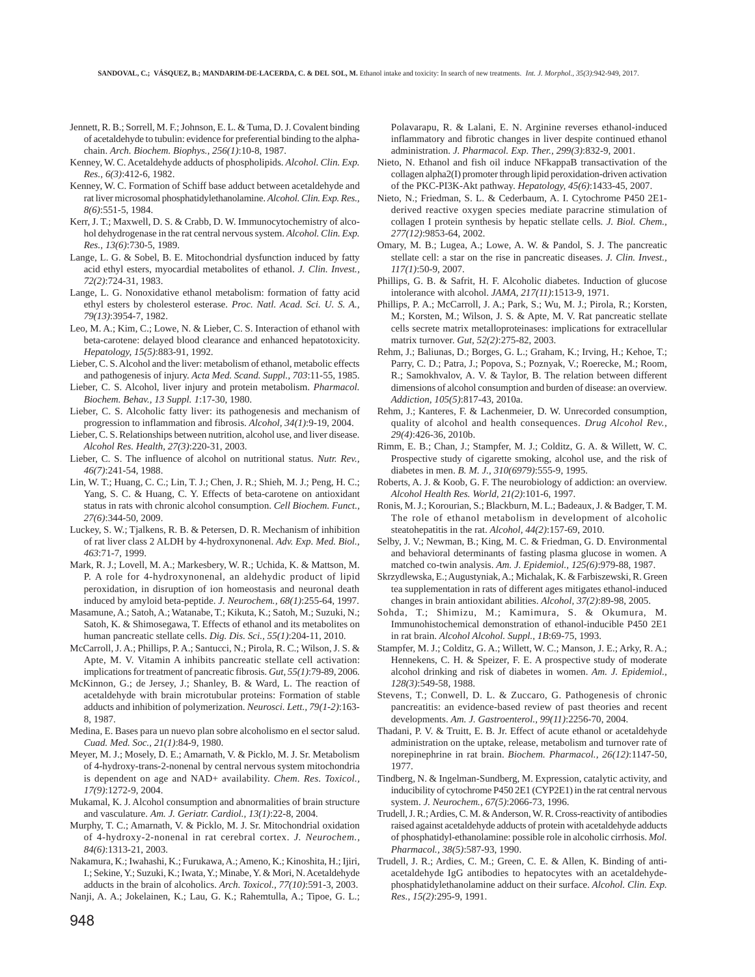- Jennett, R. B.; Sorrell, M. F.; Johnson, E. L. & Tuma, D. J. Covalent binding of acetaldehyde to tubulin: evidence for preferential binding to the alphachain. *Arch. Biochem. Biophys., 256(1)*:10-8, 1987.
- Kenney, W. C. Acetaldehyde adducts of phospholipids. *Alcohol. Clin. Exp. Res., 6(3)*:412-6, 1982.
- Kenney, W. C. Formation of Schiff base adduct between acetaldehyde and rat liver microsomal phosphatidylethanolamine. *Alcohol. Clin. Exp. Res., 8(6)*:551-5, 1984.
- Kerr, J. T.; Maxwell, D. S. & Crabb, D. W. Immunocytochemistry of alcohol dehydrogenase in the rat central nervous system. *Alcohol. Clin. Exp. Res., 13(6)*:730-5, 1989.
- Lange, L. G. & Sobel, B. E. Mitochondrial dysfunction induced by fatty acid ethyl esters, myocardial metabolites of ethanol. *J. Clin. Invest., 72(2)*:724-31, 1983.
- Lange, L. G. Nonoxidative ethanol metabolism: formation of fatty acid ethyl esters by cholesterol esterase. *Proc. Natl. Acad. Sci. U. S. A., 79(13)*:3954-7, 1982.
- Leo, M. A.; Kim, C.; Lowe, N. & Lieber, C. S. Interaction of ethanol with beta-carotene: delayed blood clearance and enhanced hepatotoxicity. *Hepatology, 15(5)*:883-91, 1992.
- Lieber, C. S. Alcohol and the liver: metabolism of ethanol, metabolic effects and pathogenesis of injury. *Acta Med. Scand. Suppl., 703*:11-55, 1985.
- Lieber, C. S. Alcohol, liver injury and protein metabolism. *Pharmacol. Biochem. Behav., 13 Suppl. 1*:17-30, 1980.
- Lieber, C. S. Alcoholic fatty liver: its pathogenesis and mechanism of progression to inflammation and fibrosis. *Alcohol, 34(1)*:9-19, 2004.
- Lieber, C. S. Relationships between nutrition, alcohol use, and liver disease. *Alcohol Res. Health, 27(3)*:220-31, 2003.
- Lieber, C. S. The influence of alcohol on nutritional status. *Nutr. Rev., 46(7)*:241-54, 1988.
- Lin, W. T.; Huang, C. C.; Lin, T. J.; Chen, J. R.; Shieh, M. J.; Peng, H. C.; Yang, S. C. & Huang, C. Y. Effects of beta-carotene on antioxidant status in rats with chronic alcohol consumption. *Cell Biochem. Funct., 27(6)*:344-50, 2009.
- Luckey, S. W.; Tjalkens, R. B. & Petersen, D. R. Mechanism of inhibition of rat liver class 2 ALDH by 4-hydroxynonenal. *Adv. Exp. Med. Biol., 463*:71-7, 1999.
- Mark, R. J.; Lovell, M. A.; Markesbery, W. R.; Uchida, K. & Mattson, M. P. A role for 4-hydroxynonenal, an aldehydic product of lipid peroxidation, in disruption of ion homeostasis and neuronal death induced by amyloid beta-peptide. *J. Neurochem., 68(1)*:255-64, 1997.
- Masamune, A.; Satoh, A.; Watanabe, T.; Kikuta, K.; Satoh, M.; Suzuki, N.; Satoh, K. & Shimosegawa, T. Effects of ethanol and its metabolites on human pancreatic stellate cells. *Dig. Dis. Sci., 55(1)*:204-11, 2010.
- McCarroll, J. A.; Phillips, P. A.; Santucci, N.; Pirola, R. C.; Wilson, J. S. & Apte, M. V. Vitamin A inhibits pancreatic stellate cell activation: implications for treatment of pancreatic fibrosis. *Gut, 55(1)*:79-89, 2006.
- McKinnon, G.; de Jersey, J.; Shanley, B. & Ward, L. The reaction of acetaldehyde with brain microtubular proteins: Formation of stable adducts and inhibition of polymerization. *Neurosci. Lett., 79(1-2)*:163- 8, 1987.
- Medina, E. Bases para un nuevo plan sobre alcoholismo en el sector salud. *Cuad. Med. Soc., 21(1)*:84-9, 1980.
- Meyer, M. J.; Mosely, D. E.; Amarnath, V. & Picklo, M. J. Sr. Metabolism of 4-hydroxy-trans-2-nonenal by central nervous system mitochondria is dependent on age and NAD+ availability. *Chem. Res. Toxicol., 17(9)*:1272-9, 2004.
- Mukamal, K. J. Alcohol consumption and abnormalities of brain structure and vasculature. *Am. J. Geriatr. Cardiol., 13(1)*:22-8, 2004.
- Murphy, T. C.; Amarnath, V. & Picklo, M. J. Sr. Mitochondrial oxidation of 4-hydroxy-2-nonenal in rat cerebral cortex. *J. Neurochem., 84(6)*:1313-21, 2003.
- Nakamura, K.; Iwahashi, K.; Furukawa, A.; Ameno, K.; Kinoshita, H.; Ijiri, I.; Sekine, Y.; Suzuki, K.; Iwata, Y.; Minabe, Y. & Mori, N. Acetaldehyde adducts in the brain of alcoholics. *Arch. Toxicol., 77(10)*:591-3, 2003.

Nanji, A. A.; Jokelainen, K.; Lau, G. K.; Rahemtulla, A.; Tipoe, G. L.;

Polavarapu, R. & Lalani, E. N. Arginine reverses ethanol-induced inflammatory and fibrotic changes in liver despite continued ethanol administration. *J. Pharmacol. Exp. Ther., 299(3)*:832-9, 2001.

- Nieto, N. Ethanol and fish oil induce NFkappaB transactivation of the collagen alpha2(I) promoter through lipid peroxidation-driven activation of the PKC-PI3K-Akt pathway. *Hepatology, 45(6)*:1433-45, 2007.
- Nieto, N.; Friedman, S. L. & Cederbaum, A. I. Cytochrome P450 2E1 derived reactive oxygen species mediate paracrine stimulation of collagen I protein synthesis by hepatic stellate cells. *J. Biol. Chem., 277(12)*:9853-64, 2002.
- Omary, M. B.; Lugea, A.; Lowe, A. W. & Pandol, S. J. The pancreatic stellate cell: a star on the rise in pancreatic diseases. *J. Clin. Invest., 117(1)*:50-9, 2007.
- Phillips, G. B. & Safrit, H. F. Alcoholic diabetes. Induction of glucose intolerance with alcohol. *JAMA, 217(11)*:1513-9, 1971.
- Phillips, P. A.; McCarroll, J. A.; Park, S.; Wu, M. J.; Pirola, R.; Korsten, M.; Korsten, M.; Wilson, J. S. & Apte, M. V. Rat pancreatic stellate cells secrete matrix metalloproteinases: implications for extracellular matrix turnover. *Gut, 52(2)*:275-82, 2003.
- Rehm, J.; Baliunas, D.; Borges, G. L.; Graham, K.; Irving, H.; Kehoe, T.; Parry, C. D.; Patra, J.; Popova, S.; Poznyak, V.; Roerecke, M.; Room, R.; Samokhvalov, A. V. & Taylor, B. The relation between different dimensions of alcohol consumption and burden of disease: an overview. *Addiction, 105(5)*:817-43, 2010a.
- Rehm, J.; Kanteres, F. & Lachenmeier, D. W. Unrecorded consumption, quality of alcohol and health consequences. *Drug Alcohol Rev., 29(4)*:426-36, 2010b.
- Rimm, E. B.; Chan, J.; Stampfer, M. J.; Colditz, G. A. & Willett, W. C. Prospective study of cigarette smoking, alcohol use, and the risk of diabetes in men. *B. M. J., 310(6979)*:555-9, 1995.
- Roberts, A. J. & Koob, G. F. The neurobiology of addiction: an overview. *Alcohol Health Res. World, 21(2)*:101-6, 1997.
- Ronis, M. J.; Korourian, S.; Blackburn, M. L.; Badeaux, J. & Badger, T. M. The role of ethanol metabolism in development of alcoholic steatohepatitis in the rat. *Alcohol, 44(2)*:157-69, 2010.
- Selby, J. V.; Newman, B.; King, M. C. & Friedman, G. D. Environmental and behavioral determinants of fasting plasma glucose in women. A matched co-twin analysis. *Am. J. Epidemiol., 125(6)*:979-88, 1987.
- Skrzydlewska, E.; Augustyniak, A.; Michalak, K. & Farbiszewski, R. Green tea supplementation in rats of different ages mitigates ethanol-induced changes in brain antioxidant abilities. *Alcohol, 37(2)*:89-98, 2005.
- Sohda, T.; Shimizu, M.; Kamimura, S. & Okumura, M. Immunohistochemical demonstration of ethanol-inducible P450 2E1 in rat brain. *Alcohol Alcohol. Suppl., 1B*:69-75, 1993.
- Stampfer, M. J.; Colditz, G. A.; Willett, W. C.; Manson, J. E.; Arky, R. A.; Hennekens, C. H. & Speizer, F. E. A prospective study of moderate alcohol drinking and risk of diabetes in women. *Am. J. Epidemiol., 128(3)*:549-58, 1988.
- Stevens, T.; Conwell, D. L. & Zuccaro, G. Pathogenesis of chronic pancreatitis: an evidence-based review of past theories and recent developments. *Am. J. Gastroenterol., 99(11)*:2256-70, 2004.
- Thadani, P. V. & Truitt, E. B. Jr. Effect of acute ethanol or acetaldehyde administration on the uptake, release, metabolism and turnover rate of norepinephrine in rat brain. *Biochem. Pharmacol., 26(12)*:1147-50, 1977.
- Tindberg, N. & Ingelman-Sundberg, M. Expression, catalytic activity, and inducibility of cytochrome P450 2E1 (CYP2E1) in the rat central nervous system. *J. Neurochem., 67(5)*:2066-73, 1996.
- Trudell, J. R.; Ardies, C. M. & Anderson, W. R. Cross-reactivity of antibodies raised against acetaldehyde adducts of protein with acetaldehyde adducts of phosphatidyl-ethanolamine: possible role in alcoholic cirrhosis. *Mol. Pharmacol., 38(5)*:587-93, 1990.
- Trudell, J. R.; Ardies, C. M.; Green, C. E. & Allen, K. Binding of antiacetaldehyde IgG antibodies to hepatocytes with an acetaldehydephosphatidylethanolamine adduct on their surface. *Alcohol. Clin. Exp. Res., 15(2)*:295-9, 1991.